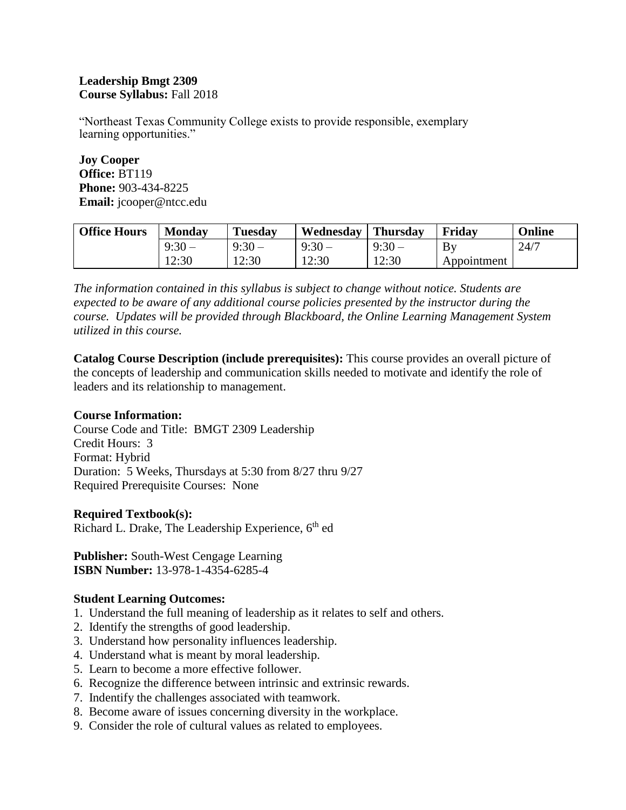#### **Leadership Bmgt 2309 Course Syllabus:** Fall 2018

"Northeast Texas Community College exists to provide responsible, exemplary learning opportunities."

**Joy Cooper Office:** BT119 **Phone:** 903-434-8225 **Email:** jcooper@ntcc.edu

| <b>Office Hours</b> | <b>Monday</b> | <b>Tuesday</b> | Wednesday | <b>Thursday</b> | Friday      | Online |
|---------------------|---------------|----------------|-----------|-----------------|-------------|--------|
|                     | $9:30-$       | $9:30-$        | $9:30-$   | $9:30-$         | By          | 24/7   |
|                     | 12:30         | 12:30          | 12:30     | 12:30           | Appointment |        |

*The information contained in this syllabus is subject to change without notice. Students are expected to be aware of any additional course policies presented by the instructor during the course. Updates will be provided through Blackboard, the Online Learning Management System utilized in this course.* 

**Catalog Course Description (include prerequisites):** This course provides an overall picture of the concepts of leadership and communication skills needed to motivate and identify the role of leaders and its relationship to management.

# **Course Information:**

Course Code and Title: BMGT 2309 Leadership Credit Hours: 3 Format: Hybrid Duration: 5 Weeks, Thursdays at 5:30 from 8/27 thru 9/27 Required Prerequisite Courses: None

#### **Required Textbook(s):**

Richard L. Drake, The Leadership Experience, 6<sup>th</sup> ed

**Publisher:** South-West Cengage Learning **ISBN Number:** 13-978-1-4354-6285-4

#### **Student Learning Outcomes:**

- 1. Understand the full meaning of leadership as it relates to self and others.
- 2. Identify the strengths of good leadership.
- 3. Understand how personality influences leadership.
- 4. Understand what is meant by moral leadership.
- 5. Learn to become a more effective follower.
- 6. Recognize the difference between intrinsic and extrinsic rewards.
- 7. Indentify the challenges associated with teamwork.
- 8. Become aware of issues concerning diversity in the workplace.
- 9. Consider the role of cultural values as related to employees.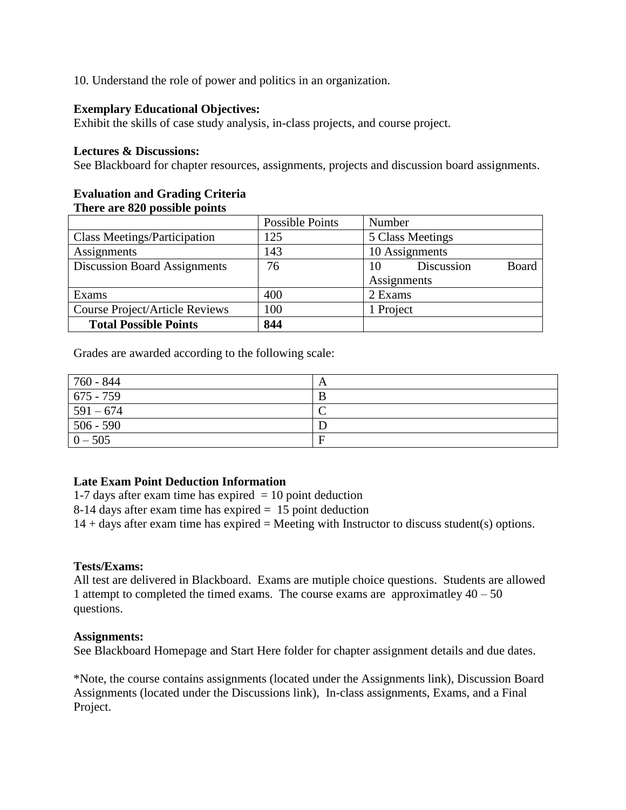10. Understand the role of power and politics in an organization.

### **Exemplary Educational Objectives:**

Exhibit the skills of case study analysis, in-class projects, and course project.

#### **Lectures & Discussions:**

See Blackboard for chapter resources, assignments, projects and discussion board assignments.

#### **Evaluation and Grading Criteria There are 820 possible points**

|                                       | Possible Points | Number                    |  |
|---------------------------------------|-----------------|---------------------------|--|
| <b>Class Meetings/Participation</b>   | 125             | 5 Class Meetings          |  |
| Assignments                           | 143             | 10 Assignments            |  |
| <b>Discussion Board Assignments</b>   | 76              | Board<br>Discussion<br>10 |  |
|                                       |                 | Assignments               |  |
| Exams                                 | 400             | 2 Exams                   |  |
| <b>Course Project/Article Reviews</b> | 100             | 1 Project                 |  |
| <b>Total Possible Points</b>          | 844             |                           |  |

Grades are awarded according to the following scale:

| 760 - 844   | A |
|-------------|---|
| $675 - 759$ | B |
| $591 - 674$ |   |
| $506 - 590$ |   |
| $0 - 505$   | F |

# **Late Exam Point Deduction Information**

1-7 days after exam time has expired  $= 10$  point deduction

8-14 days after exam time has expired = 15 point deduction

 $14 +$  days after exam time has expired = Meeting with Instructor to discuss student(s) options.

#### **Tests/Exams:**

All test are delivered in Blackboard. Exams are mutiple choice questions. Students are allowed 1 attempt to completed the timed exams. The course exams are approximatley  $40 - 50$ questions.

#### **Assignments:**

See Blackboard Homepage and Start Here folder for chapter assignment details and due dates.

\*Note, the course contains assignments (located under the Assignments link), Discussion Board Assignments (located under the Discussions link), In-class assignments, Exams, and a Final Project.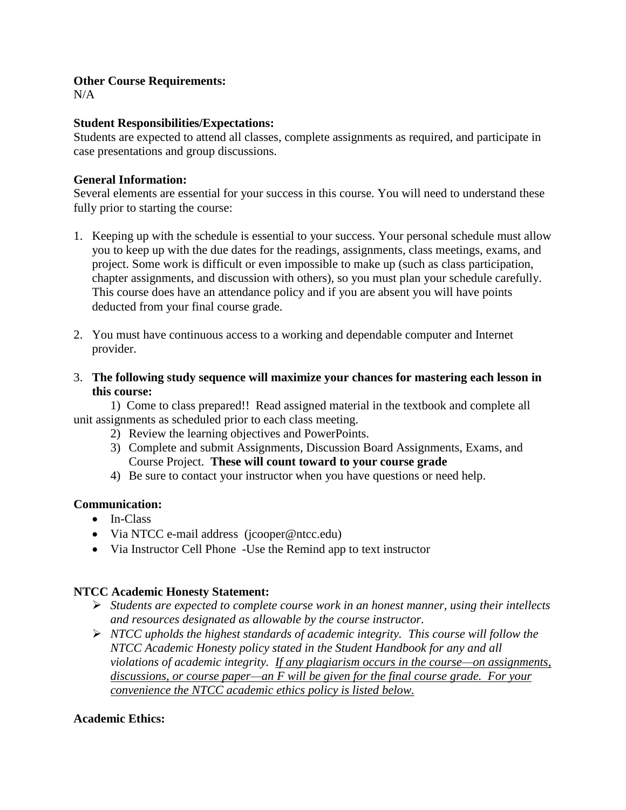#### **Other Course Requirements:**

 $N/A$ 

# **Student Responsibilities/Expectations:**

Students are expected to attend all classes, complete assignments as required, and participate in case presentations and group discussions.

### **General Information:**

Several elements are essential for your success in this course. You will need to understand these fully prior to starting the course:

- 1. Keeping up with the schedule is essential to your success. Your personal schedule must allow you to keep up with the due dates for the readings, assignments, class meetings, exams, and project. Some work is difficult or even impossible to make up (such as class participation, chapter assignments, and discussion with others), so you must plan your schedule carefully. This course does have an attendance policy and if you are absent you will have points deducted from your final course grade.
- 2. You must have continuous access to a working and dependable computer and Internet provider.
- 3. **The following study sequence will maximize your chances for mastering each lesson in this course:**

1) Come to class prepared!! Read assigned material in the textbook and complete all unit assignments as scheduled prior to each class meeting.

- 2) Review the learning objectives and PowerPoints.
- 3) Complete and submit Assignments, Discussion Board Assignments, Exams, and Course Project. **These will count toward to your course grade**
- 4) Be sure to contact your instructor when you have questions or need help.

# **Communication:**

- In-Class
- Via NTCC e-mail address (jcooper@ntcc.edu)
- Via Instructor Cell Phone -Use the Remind app to text instructor

# **NTCC Academic Honesty Statement:**

- *Students are expected to complete course work in an honest manner, using their intellects and resources designated as allowable by the course instructor.*
- *NTCC upholds the highest standards of academic integrity. This course will follow the NTCC Academic Honesty policy stated in the Student Handbook for any and all violations of academic integrity. If any plagiarism occurs in the course—on assignments, discussions, or course paper—an F will be given for the final course grade. For your convenience the NTCC academic ethics policy is listed below.*

# **Academic Ethics:**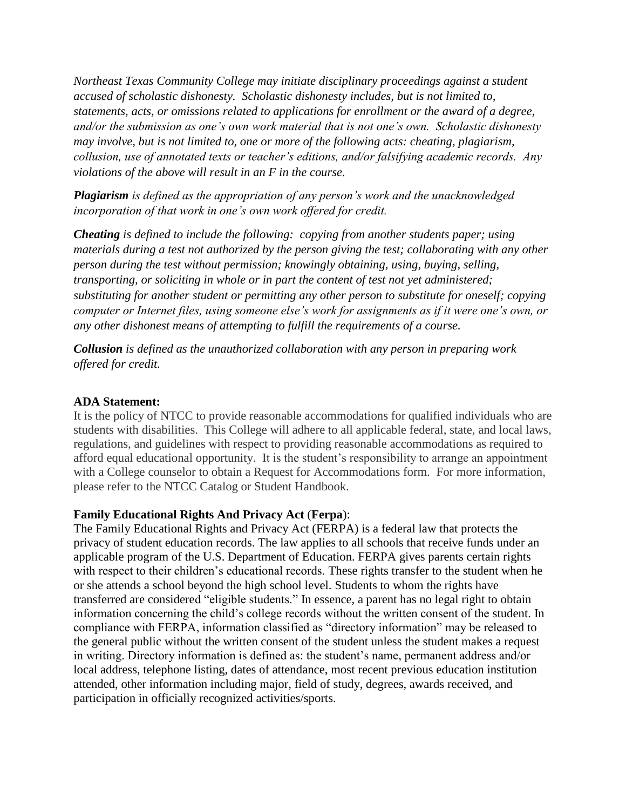*Northeast Texas Community College may initiate disciplinary proceedings against a student accused of scholastic dishonesty. Scholastic dishonesty includes, but is not limited to, statements, acts, or omissions related to applications for enrollment or the award of a degree, and/or the submission as one's own work material that is not one's own. Scholastic dishonesty may involve, but is not limited to, one or more of the following acts: cheating, plagiarism, collusion, use of annotated texts or teacher's editions, and/or falsifying academic records. Any violations of the above will result in an F in the course.*

*Plagiarism is defined as the appropriation of any person's work and the unacknowledged incorporation of that work in one's own work offered for credit.*

*Cheating is defined to include the following: copying from another students paper; using materials during a test not authorized by the person giving the test; collaborating with any other person during the test without permission; knowingly obtaining, using, buying, selling, transporting, or soliciting in whole or in part the content of test not yet administered; substituting for another student or permitting any other person to substitute for oneself; copying computer or Internet files, using someone else's work for assignments as if it were one's own, or any other dishonest means of attempting to fulfill the requirements of a course.*

*Collusion is defined as the unauthorized collaboration with any person in preparing work offered for credit.*

#### **ADA Statement:**

It is the policy of NTCC to provide reasonable accommodations for qualified individuals who are students with disabilities. This College will adhere to all applicable federal, state, and local laws, regulations, and guidelines with respect to providing reasonable accommodations as required to afford equal educational opportunity. It is the student's responsibility to arrange an appointment with a College counselor to obtain a Request for Accommodations form. For more information, please refer to the NTCC Catalog or Student Handbook.

# **Family Educational Rights And Privacy Act** (**Ferpa**):

The Family Educational Rights and Privacy Act (FERPA) is a federal law that protects the privacy of student education records. The law applies to all schools that receive funds under an applicable program of the U.S. Department of Education. FERPA gives parents certain rights with respect to their children's educational records. These rights transfer to the student when he or she attends a school beyond the high school level. Students to whom the rights have transferred are considered "eligible students." In essence, a parent has no legal right to obtain information concerning the child's college records without the written consent of the student. In compliance with FERPA, information classified as "directory information" may be released to the general public without the written consent of the student unless the student makes a request in writing. Directory information is defined as: the student's name, permanent address and/or local address, telephone listing, dates of attendance, most recent previous education institution attended, other information including major, field of study, degrees, awards received, and participation in officially recognized activities/sports.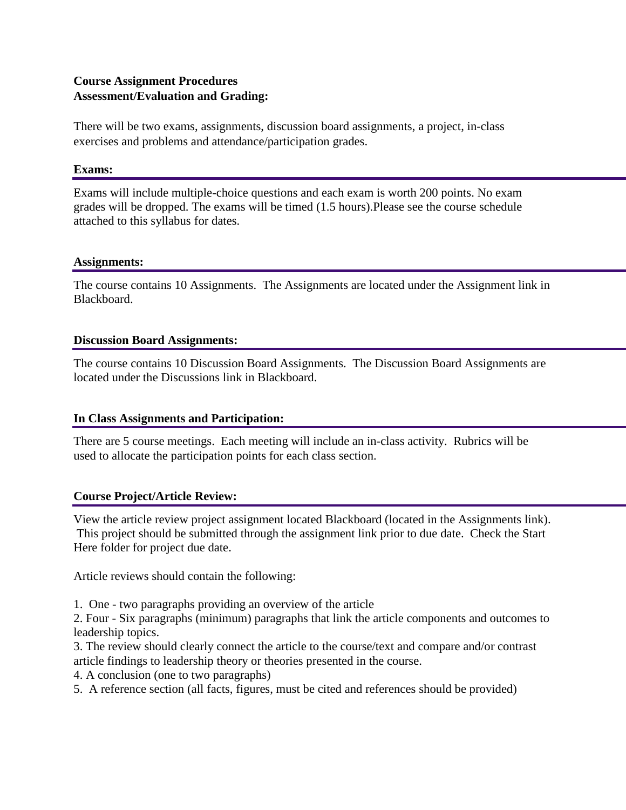# **Course Assignment Procedures Assessment/Evaluation and Grading:**

There will be two exams, assignments, discussion board assignments, a project, in-class exercises and problems and attendance/participation grades.

#### **Exams:**

Exams will include multiple-choice questions and each exam is worth 200 points. No exam grades will be dropped. The exams will be timed (1.5 hours).Please see the course schedule attached to this syllabus for dates.

#### **Assignments:**

The course contains 10 Assignments. The Assignments are located under the Assignment link in Blackboard.

#### **Discussion Board Assignments:**

The course contains 10 Discussion Board Assignments. The Discussion Board Assignments are located under the Discussions link in Blackboard.

# **In Class Assignments and Participation:**

There are 5 course meetings. Each meeting will include an in-class activity. Rubrics will be used to allocate the participation points for each class section.

# **Course Project/Article Review:**

View the article review project assignment located Blackboard (located in the Assignments link). This project should be submitted through the assignment link prior to due date. Check the Start Here folder for project due date.

Article reviews should contain the following:

1. One - two paragraphs providing an overview of the article

2. Four - Six paragraphs (minimum) paragraphs that link the article components and outcomes to leadership topics.

3. The review should clearly connect the article to the course/text and compare and/or contrast article findings to leadership theory or theories presented in the course.

4. A conclusion (one to two paragraphs)

5. A reference section (all facts, figures, must be cited and references should be provided)